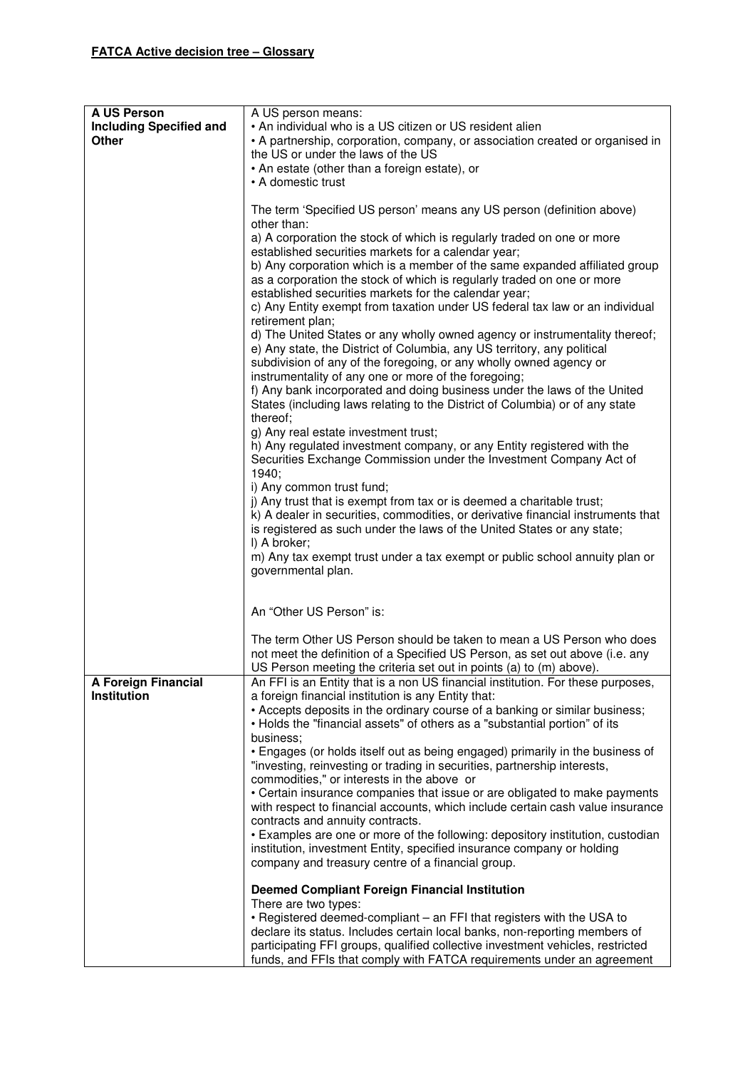| A US Person<br><b>Including Specified and</b><br><b>Other</b> | A US person means:<br>• An individual who is a US citizen or US resident alien<br>• A partnership, corporation, company, or association created or organised in<br>the US or under the laws of the US<br>• An estate (other than a foreign estate), or<br>• A domestic trust<br>The term 'Specified US person' means any US person (definition above)<br>other than:<br>a) A corporation the stock of which is regularly traded on one or more<br>established securities markets for a calendar year;<br>b) Any corporation which is a member of the same expanded affiliated group<br>as a corporation the stock of which is regularly traded on one or more<br>established securities markets for the calendar year;<br>c) Any Entity exempt from taxation under US federal tax law or an individual<br>retirement plan;<br>d) The United States or any wholly owned agency or instrumentality thereof;<br>e) Any state, the District of Columbia, any US territory, any political<br>subdivision of any of the foregoing, or any wholly owned agency or<br>instrumentality of any one or more of the foregoing;<br>f) Any bank incorporated and doing business under the laws of the United<br>States (including laws relating to the District of Columbia) or of any state<br>thereof;<br>g) Any real estate investment trust;<br>h) Any regulated investment company, or any Entity registered with the<br>Securities Exchange Commission under the Investment Company Act of<br>1940;<br>i) Any common trust fund;<br>j) Any trust that is exempt from tax or is deemed a charitable trust;<br>k) A dealer in securities, commodities, or derivative financial instruments that<br>is registered as such under the laws of the United States or any state; |
|---------------------------------------------------------------|------------------------------------------------------------------------------------------------------------------------------------------------------------------------------------------------------------------------------------------------------------------------------------------------------------------------------------------------------------------------------------------------------------------------------------------------------------------------------------------------------------------------------------------------------------------------------------------------------------------------------------------------------------------------------------------------------------------------------------------------------------------------------------------------------------------------------------------------------------------------------------------------------------------------------------------------------------------------------------------------------------------------------------------------------------------------------------------------------------------------------------------------------------------------------------------------------------------------------------------------------------------------------------------------------------------------------------------------------------------------------------------------------------------------------------------------------------------------------------------------------------------------------------------------------------------------------------------------------------------------------------------------------------------------------------------------------------------------------------------------------------------|
|                                                               | I) A broker;<br>m) Any tax exempt trust under a tax exempt or public school annuity plan or<br>governmental plan.                                                                                                                                                                                                                                                                                                                                                                                                                                                                                                                                                                                                                                                                                                                                                                                                                                                                                                                                                                                                                                                                                                                                                                                                                                                                                                                                                                                                                                                                                                                                                                                                                                                |
|                                                               | An "Other US Person" is:                                                                                                                                                                                                                                                                                                                                                                                                                                                                                                                                                                                                                                                                                                                                                                                                                                                                                                                                                                                                                                                                                                                                                                                                                                                                                                                                                                                                                                                                                                                                                                                                                                                                                                                                         |
|                                                               | The term Other US Person should be taken to mean a US Person who does<br>not meet the definition of a Specified US Person, as set out above (i.e. any<br>US Person meeting the criteria set out in points (a) to (m) above).                                                                                                                                                                                                                                                                                                                                                                                                                                                                                                                                                                                                                                                                                                                                                                                                                                                                                                                                                                                                                                                                                                                                                                                                                                                                                                                                                                                                                                                                                                                                     |
| <b>A Foreign Financial</b><br>Institution                     | An FFI is an Entity that is a non US financial institution. For these purposes,<br>a foreign financial institution is any Entity that:<br>• Accepts deposits in the ordinary course of a banking or similar business;<br>• Holds the "financial assets" of others as a "substantial portion" of its<br>business;<br>• Engages (or holds itself out as being engaged) primarily in the business of<br>"investing, reinvesting or trading in securities, partnership interests,<br>commodities," or interests in the above or<br>• Certain insurance companies that issue or are obligated to make payments<br>with respect to financial accounts, which include certain cash value insurance<br>contracts and annuity contracts.<br>• Examples are one or more of the following: depository institution, custodian<br>institution, investment Entity, specified insurance company or holding<br>company and treasury centre of a financial group.<br><b>Deemed Compliant Foreign Financial Institution</b>                                                                                                                                                                                                                                                                                                                                                                                                                                                                                                                                                                                                                                                                                                                                                        |
|                                                               | There are two types:<br>• Registered deemed-compliant – an FFI that registers with the USA to<br>declare its status. Includes certain local banks, non-reporting members of<br>participating FFI groups, qualified collective investment vehicles, restricted<br>funds, and FFIs that comply with FATCA requirements under an agreement                                                                                                                                                                                                                                                                                                                                                                                                                                                                                                                                                                                                                                                                                                                                                                                                                                                                                                                                                                                                                                                                                                                                                                                                                                                                                                                                                                                                                          |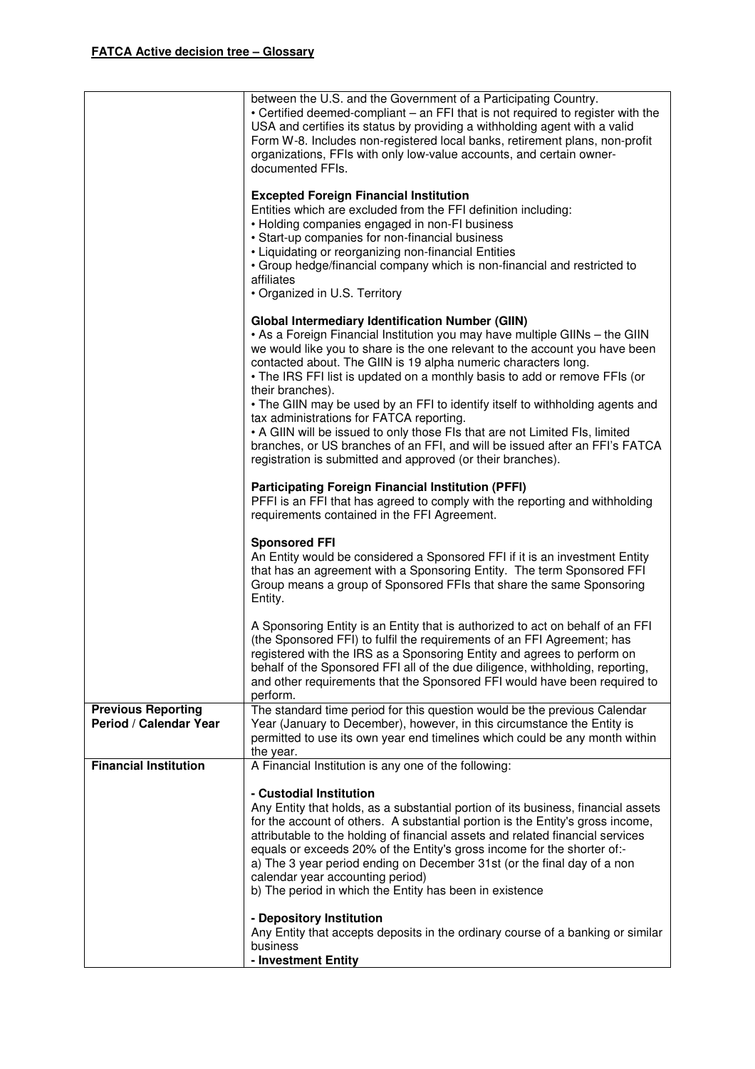|                                                     | between the U.S. and the Government of a Participating Country.<br>• Certified deemed-compliant – an FFI that is not required to register with the<br>USA and certifies its status by providing a withholding agent with a valid<br>Form W-8. Includes non-registered local banks, retirement plans, non-profit<br>organizations, FFIs with only low-value accounts, and certain owner-<br>documented FFIs.                                                                                                                                                                                                                                                                                                                                         |
|-----------------------------------------------------|-----------------------------------------------------------------------------------------------------------------------------------------------------------------------------------------------------------------------------------------------------------------------------------------------------------------------------------------------------------------------------------------------------------------------------------------------------------------------------------------------------------------------------------------------------------------------------------------------------------------------------------------------------------------------------------------------------------------------------------------------------|
|                                                     | <b>Excepted Foreign Financial Institution</b><br>Entities which are excluded from the FFI definition including:<br>• Holding companies engaged in non-FI business<br>• Start-up companies for non-financial business<br>• Liquidating or reorganizing non-financial Entities<br>• Group hedge/financial company which is non-financial and restricted to<br>affiliates<br>• Organized in U.S. Territory                                                                                                                                                                                                                                                                                                                                             |
|                                                     | <b>Global Intermediary Identification Number (GIIN)</b><br>. As a Foreign Financial Institution you may have multiple GIINs - the GIIN<br>we would like you to share is the one relevant to the account you have been<br>contacted about. The GIIN is 19 alpha numeric characters long.<br>• The IRS FFI list is updated on a monthly basis to add or remove FFIs (or<br>their branches).<br>• The GIIN may be used by an FFI to identify itself to withholding agents and<br>tax administrations for FATCA reporting.<br>• A GIIN will be issued to only those FIs that are not Limited FIs, limited<br>branches, or US branches of an FFI, and will be issued after an FFI's FATCA<br>registration is submitted and approved (or their branches). |
|                                                     | <b>Participating Foreign Financial Institution (PFFI)</b><br>PFFI is an FFI that has agreed to comply with the reporting and withholding<br>requirements contained in the FFI Agreement.                                                                                                                                                                                                                                                                                                                                                                                                                                                                                                                                                            |
|                                                     | <b>Sponsored FFI</b><br>An Entity would be considered a Sponsored FFI if it is an investment Entity<br>that has an agreement with a Sponsoring Entity. The term Sponsored FFI<br>Group means a group of Sponsored FFIs that share the same Sponsoring<br>Entity.                                                                                                                                                                                                                                                                                                                                                                                                                                                                                    |
|                                                     | A Sponsoring Entity is an Entity that is authorized to act on behalf of an FFI<br>(the Sponsored FFI) to fulfil the requirements of an FFI Agreement; has<br>registered with the IRS as a Sponsoring Entity and agrees to perform on<br>behalf of the Sponsored FFI all of the due diligence, withholding, reporting,<br>and other requirements that the Sponsored FFI would have been required to<br>perform.                                                                                                                                                                                                                                                                                                                                      |
| <b>Previous Reporting</b><br>Period / Calendar Year | The standard time period for this question would be the previous Calendar<br>Year (January to December), however, in this circumstance the Entity is<br>permitted to use its own year end timelines which could be any month within<br>the year.                                                                                                                                                                                                                                                                                                                                                                                                                                                                                                    |
| <b>Financial Institution</b>                        | A Financial Institution is any one of the following:                                                                                                                                                                                                                                                                                                                                                                                                                                                                                                                                                                                                                                                                                                |
|                                                     | - Custodial Institution<br>Any Entity that holds, as a substantial portion of its business, financial assets<br>for the account of others. A substantial portion is the Entity's gross income,<br>attributable to the holding of financial assets and related financial services<br>equals or exceeds 20% of the Entity's gross income for the shorter of:-<br>a) The 3 year period ending on December 31st (or the final day of a non<br>calendar year accounting period)<br>b) The period in which the Entity has been in existence<br>- Depository Institution<br>Any Entity that accepts deposits in the ordinary course of a banking or similar<br>business                                                                                    |
|                                                     | - Investment Entity                                                                                                                                                                                                                                                                                                                                                                                                                                                                                                                                                                                                                                                                                                                                 |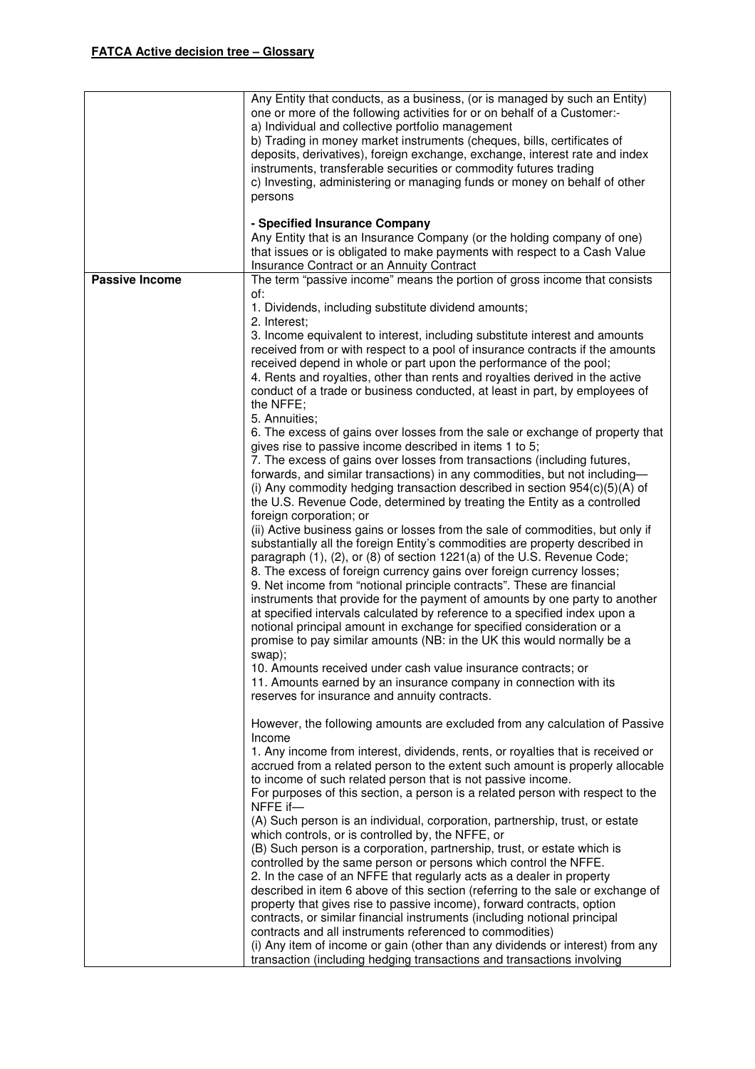| one or more of the following activities for or on behalf of a Customer:-<br>a) Individual and collective portfolio management<br>b) Trading in money market instruments (cheques, bills, certificates of<br>deposits, derivatives), foreign exchange, exchange, interest rate and index<br>instruments, transferable securities or commodity futures trading<br>c) Investing, administering or managing funds or money on behalf of other<br>persons<br>- Specified Insurance Company<br>Any Entity that is an Insurance Company (or the holding company of one)<br>that issues or is obligated to make payments with respect to a Cash Value<br>Insurance Contract or an Annuity Contract<br><b>Passive Income</b><br>The term "passive income" means the portion of gross income that consists<br>of:<br>1. Dividends, including substitute dividend amounts;<br>2. Interest;<br>3. Income equivalent to interest, including substitute interest and amounts<br>received from or with respect to a pool of insurance contracts if the amounts<br>received depend in whole or part upon the performance of the pool;<br>4. Rents and royalties, other than rents and royalties derived in the active<br>conduct of a trade or business conducted, at least in part, by employees of<br>the NFFE;<br>5. Annuities;<br>6. The excess of gains over losses from the sale or exchange of property that<br>gives rise to passive income described in items 1 to 5;<br>7. The excess of gains over losses from transactions (including futures,<br>forwards, and similar transactions) in any commodities, but not including-<br>(i) Any commodity hedging transaction described in section $954(c)(5)(A)$ of<br>the U.S. Revenue Code, determined by treating the Entity as a controlled<br>foreign corporation; or<br>(ii) Active business gains or losses from the sale of commodities, but only if<br>substantially all the foreign Entity's commodities are property described in<br>paragraph (1), (2), or (8) of section 1221(a) of the U.S. Revenue Code;<br>8. The excess of foreign currency gains over foreign currency losses;<br>9. Net income from "notional principle contracts". These are financial<br>instruments that provide for the payment of amounts by one party to another<br>at specified intervals calculated by reference to a specified index upon a<br>notional principal amount in exchange for specified consideration or a<br>promise to pay similar amounts (NB: in the UK this would normally be a<br>swap);<br>10. Amounts received under cash value insurance contracts; or |
|-------------------------------------------------------------------------------------------------------------------------------------------------------------------------------------------------------------------------------------------------------------------------------------------------------------------------------------------------------------------------------------------------------------------------------------------------------------------------------------------------------------------------------------------------------------------------------------------------------------------------------------------------------------------------------------------------------------------------------------------------------------------------------------------------------------------------------------------------------------------------------------------------------------------------------------------------------------------------------------------------------------------------------------------------------------------------------------------------------------------------------------------------------------------------------------------------------------------------------------------------------------------------------------------------------------------------------------------------------------------------------------------------------------------------------------------------------------------------------------------------------------------------------------------------------------------------------------------------------------------------------------------------------------------------------------------------------------------------------------------------------------------------------------------------------------------------------------------------------------------------------------------------------------------------------------------------------------------------------------------------------------------------------------------------------------------------------------------------------------------------------------------------------------------------------------------------------------------------------------------------------------------------------------------------------------------------------------------------------------------------------------------------------------------------------------------------------------------------------------------------------------------------------------------------------------------------------------------------------------|
|                                                                                                                                                                                                                                                                                                                                                                                                                                                                                                                                                                                                                                                                                                                                                                                                                                                                                                                                                                                                                                                                                                                                                                                                                                                                                                                                                                                                                                                                                                                                                                                                                                                                                                                                                                                                                                                                                                                                                                                                                                                                                                                                                                                                                                                                                                                                                                                                                                                                                                                                                                                                             |
|                                                                                                                                                                                                                                                                                                                                                                                                                                                                                                                                                                                                                                                                                                                                                                                                                                                                                                                                                                                                                                                                                                                                                                                                                                                                                                                                                                                                                                                                                                                                                                                                                                                                                                                                                                                                                                                                                                                                                                                                                                                                                                                                                                                                                                                                                                                                                                                                                                                                                                                                                                                                             |
|                                                                                                                                                                                                                                                                                                                                                                                                                                                                                                                                                                                                                                                                                                                                                                                                                                                                                                                                                                                                                                                                                                                                                                                                                                                                                                                                                                                                                                                                                                                                                                                                                                                                                                                                                                                                                                                                                                                                                                                                                                                                                                                                                                                                                                                                                                                                                                                                                                                                                                                                                                                                             |
|                                                                                                                                                                                                                                                                                                                                                                                                                                                                                                                                                                                                                                                                                                                                                                                                                                                                                                                                                                                                                                                                                                                                                                                                                                                                                                                                                                                                                                                                                                                                                                                                                                                                                                                                                                                                                                                                                                                                                                                                                                                                                                                                                                                                                                                                                                                                                                                                                                                                                                                                                                                                             |
|                                                                                                                                                                                                                                                                                                                                                                                                                                                                                                                                                                                                                                                                                                                                                                                                                                                                                                                                                                                                                                                                                                                                                                                                                                                                                                                                                                                                                                                                                                                                                                                                                                                                                                                                                                                                                                                                                                                                                                                                                                                                                                                                                                                                                                                                                                                                                                                                                                                                                                                                                                                                             |
|                                                                                                                                                                                                                                                                                                                                                                                                                                                                                                                                                                                                                                                                                                                                                                                                                                                                                                                                                                                                                                                                                                                                                                                                                                                                                                                                                                                                                                                                                                                                                                                                                                                                                                                                                                                                                                                                                                                                                                                                                                                                                                                                                                                                                                                                                                                                                                                                                                                                                                                                                                                                             |
|                                                                                                                                                                                                                                                                                                                                                                                                                                                                                                                                                                                                                                                                                                                                                                                                                                                                                                                                                                                                                                                                                                                                                                                                                                                                                                                                                                                                                                                                                                                                                                                                                                                                                                                                                                                                                                                                                                                                                                                                                                                                                                                                                                                                                                                                                                                                                                                                                                                                                                                                                                                                             |
|                                                                                                                                                                                                                                                                                                                                                                                                                                                                                                                                                                                                                                                                                                                                                                                                                                                                                                                                                                                                                                                                                                                                                                                                                                                                                                                                                                                                                                                                                                                                                                                                                                                                                                                                                                                                                                                                                                                                                                                                                                                                                                                                                                                                                                                                                                                                                                                                                                                                                                                                                                                                             |
|                                                                                                                                                                                                                                                                                                                                                                                                                                                                                                                                                                                                                                                                                                                                                                                                                                                                                                                                                                                                                                                                                                                                                                                                                                                                                                                                                                                                                                                                                                                                                                                                                                                                                                                                                                                                                                                                                                                                                                                                                                                                                                                                                                                                                                                                                                                                                                                                                                                                                                                                                                                                             |
|                                                                                                                                                                                                                                                                                                                                                                                                                                                                                                                                                                                                                                                                                                                                                                                                                                                                                                                                                                                                                                                                                                                                                                                                                                                                                                                                                                                                                                                                                                                                                                                                                                                                                                                                                                                                                                                                                                                                                                                                                                                                                                                                                                                                                                                                                                                                                                                                                                                                                                                                                                                                             |
|                                                                                                                                                                                                                                                                                                                                                                                                                                                                                                                                                                                                                                                                                                                                                                                                                                                                                                                                                                                                                                                                                                                                                                                                                                                                                                                                                                                                                                                                                                                                                                                                                                                                                                                                                                                                                                                                                                                                                                                                                                                                                                                                                                                                                                                                                                                                                                                                                                                                                                                                                                                                             |
|                                                                                                                                                                                                                                                                                                                                                                                                                                                                                                                                                                                                                                                                                                                                                                                                                                                                                                                                                                                                                                                                                                                                                                                                                                                                                                                                                                                                                                                                                                                                                                                                                                                                                                                                                                                                                                                                                                                                                                                                                                                                                                                                                                                                                                                                                                                                                                                                                                                                                                                                                                                                             |
|                                                                                                                                                                                                                                                                                                                                                                                                                                                                                                                                                                                                                                                                                                                                                                                                                                                                                                                                                                                                                                                                                                                                                                                                                                                                                                                                                                                                                                                                                                                                                                                                                                                                                                                                                                                                                                                                                                                                                                                                                                                                                                                                                                                                                                                                                                                                                                                                                                                                                                                                                                                                             |
|                                                                                                                                                                                                                                                                                                                                                                                                                                                                                                                                                                                                                                                                                                                                                                                                                                                                                                                                                                                                                                                                                                                                                                                                                                                                                                                                                                                                                                                                                                                                                                                                                                                                                                                                                                                                                                                                                                                                                                                                                                                                                                                                                                                                                                                                                                                                                                                                                                                                                                                                                                                                             |
|                                                                                                                                                                                                                                                                                                                                                                                                                                                                                                                                                                                                                                                                                                                                                                                                                                                                                                                                                                                                                                                                                                                                                                                                                                                                                                                                                                                                                                                                                                                                                                                                                                                                                                                                                                                                                                                                                                                                                                                                                                                                                                                                                                                                                                                                                                                                                                                                                                                                                                                                                                                                             |
|                                                                                                                                                                                                                                                                                                                                                                                                                                                                                                                                                                                                                                                                                                                                                                                                                                                                                                                                                                                                                                                                                                                                                                                                                                                                                                                                                                                                                                                                                                                                                                                                                                                                                                                                                                                                                                                                                                                                                                                                                                                                                                                                                                                                                                                                                                                                                                                                                                                                                                                                                                                                             |
|                                                                                                                                                                                                                                                                                                                                                                                                                                                                                                                                                                                                                                                                                                                                                                                                                                                                                                                                                                                                                                                                                                                                                                                                                                                                                                                                                                                                                                                                                                                                                                                                                                                                                                                                                                                                                                                                                                                                                                                                                                                                                                                                                                                                                                                                                                                                                                                                                                                                                                                                                                                                             |
|                                                                                                                                                                                                                                                                                                                                                                                                                                                                                                                                                                                                                                                                                                                                                                                                                                                                                                                                                                                                                                                                                                                                                                                                                                                                                                                                                                                                                                                                                                                                                                                                                                                                                                                                                                                                                                                                                                                                                                                                                                                                                                                                                                                                                                                                                                                                                                                                                                                                                                                                                                                                             |
|                                                                                                                                                                                                                                                                                                                                                                                                                                                                                                                                                                                                                                                                                                                                                                                                                                                                                                                                                                                                                                                                                                                                                                                                                                                                                                                                                                                                                                                                                                                                                                                                                                                                                                                                                                                                                                                                                                                                                                                                                                                                                                                                                                                                                                                                                                                                                                                                                                                                                                                                                                                                             |
|                                                                                                                                                                                                                                                                                                                                                                                                                                                                                                                                                                                                                                                                                                                                                                                                                                                                                                                                                                                                                                                                                                                                                                                                                                                                                                                                                                                                                                                                                                                                                                                                                                                                                                                                                                                                                                                                                                                                                                                                                                                                                                                                                                                                                                                                                                                                                                                                                                                                                                                                                                                                             |
|                                                                                                                                                                                                                                                                                                                                                                                                                                                                                                                                                                                                                                                                                                                                                                                                                                                                                                                                                                                                                                                                                                                                                                                                                                                                                                                                                                                                                                                                                                                                                                                                                                                                                                                                                                                                                                                                                                                                                                                                                                                                                                                                                                                                                                                                                                                                                                                                                                                                                                                                                                                                             |
|                                                                                                                                                                                                                                                                                                                                                                                                                                                                                                                                                                                                                                                                                                                                                                                                                                                                                                                                                                                                                                                                                                                                                                                                                                                                                                                                                                                                                                                                                                                                                                                                                                                                                                                                                                                                                                                                                                                                                                                                                                                                                                                                                                                                                                                                                                                                                                                                                                                                                                                                                                                                             |
|                                                                                                                                                                                                                                                                                                                                                                                                                                                                                                                                                                                                                                                                                                                                                                                                                                                                                                                                                                                                                                                                                                                                                                                                                                                                                                                                                                                                                                                                                                                                                                                                                                                                                                                                                                                                                                                                                                                                                                                                                                                                                                                                                                                                                                                                                                                                                                                                                                                                                                                                                                                                             |
|                                                                                                                                                                                                                                                                                                                                                                                                                                                                                                                                                                                                                                                                                                                                                                                                                                                                                                                                                                                                                                                                                                                                                                                                                                                                                                                                                                                                                                                                                                                                                                                                                                                                                                                                                                                                                                                                                                                                                                                                                                                                                                                                                                                                                                                                                                                                                                                                                                                                                                                                                                                                             |
|                                                                                                                                                                                                                                                                                                                                                                                                                                                                                                                                                                                                                                                                                                                                                                                                                                                                                                                                                                                                                                                                                                                                                                                                                                                                                                                                                                                                                                                                                                                                                                                                                                                                                                                                                                                                                                                                                                                                                                                                                                                                                                                                                                                                                                                                                                                                                                                                                                                                                                                                                                                                             |
|                                                                                                                                                                                                                                                                                                                                                                                                                                                                                                                                                                                                                                                                                                                                                                                                                                                                                                                                                                                                                                                                                                                                                                                                                                                                                                                                                                                                                                                                                                                                                                                                                                                                                                                                                                                                                                                                                                                                                                                                                                                                                                                                                                                                                                                                                                                                                                                                                                                                                                                                                                                                             |
|                                                                                                                                                                                                                                                                                                                                                                                                                                                                                                                                                                                                                                                                                                                                                                                                                                                                                                                                                                                                                                                                                                                                                                                                                                                                                                                                                                                                                                                                                                                                                                                                                                                                                                                                                                                                                                                                                                                                                                                                                                                                                                                                                                                                                                                                                                                                                                                                                                                                                                                                                                                                             |
|                                                                                                                                                                                                                                                                                                                                                                                                                                                                                                                                                                                                                                                                                                                                                                                                                                                                                                                                                                                                                                                                                                                                                                                                                                                                                                                                                                                                                                                                                                                                                                                                                                                                                                                                                                                                                                                                                                                                                                                                                                                                                                                                                                                                                                                                                                                                                                                                                                                                                                                                                                                                             |
|                                                                                                                                                                                                                                                                                                                                                                                                                                                                                                                                                                                                                                                                                                                                                                                                                                                                                                                                                                                                                                                                                                                                                                                                                                                                                                                                                                                                                                                                                                                                                                                                                                                                                                                                                                                                                                                                                                                                                                                                                                                                                                                                                                                                                                                                                                                                                                                                                                                                                                                                                                                                             |
|                                                                                                                                                                                                                                                                                                                                                                                                                                                                                                                                                                                                                                                                                                                                                                                                                                                                                                                                                                                                                                                                                                                                                                                                                                                                                                                                                                                                                                                                                                                                                                                                                                                                                                                                                                                                                                                                                                                                                                                                                                                                                                                                                                                                                                                                                                                                                                                                                                                                                                                                                                                                             |
|                                                                                                                                                                                                                                                                                                                                                                                                                                                                                                                                                                                                                                                                                                                                                                                                                                                                                                                                                                                                                                                                                                                                                                                                                                                                                                                                                                                                                                                                                                                                                                                                                                                                                                                                                                                                                                                                                                                                                                                                                                                                                                                                                                                                                                                                                                                                                                                                                                                                                                                                                                                                             |
|                                                                                                                                                                                                                                                                                                                                                                                                                                                                                                                                                                                                                                                                                                                                                                                                                                                                                                                                                                                                                                                                                                                                                                                                                                                                                                                                                                                                                                                                                                                                                                                                                                                                                                                                                                                                                                                                                                                                                                                                                                                                                                                                                                                                                                                                                                                                                                                                                                                                                                                                                                                                             |
|                                                                                                                                                                                                                                                                                                                                                                                                                                                                                                                                                                                                                                                                                                                                                                                                                                                                                                                                                                                                                                                                                                                                                                                                                                                                                                                                                                                                                                                                                                                                                                                                                                                                                                                                                                                                                                                                                                                                                                                                                                                                                                                                                                                                                                                                                                                                                                                                                                                                                                                                                                                                             |
|                                                                                                                                                                                                                                                                                                                                                                                                                                                                                                                                                                                                                                                                                                                                                                                                                                                                                                                                                                                                                                                                                                                                                                                                                                                                                                                                                                                                                                                                                                                                                                                                                                                                                                                                                                                                                                                                                                                                                                                                                                                                                                                                                                                                                                                                                                                                                                                                                                                                                                                                                                                                             |
|                                                                                                                                                                                                                                                                                                                                                                                                                                                                                                                                                                                                                                                                                                                                                                                                                                                                                                                                                                                                                                                                                                                                                                                                                                                                                                                                                                                                                                                                                                                                                                                                                                                                                                                                                                                                                                                                                                                                                                                                                                                                                                                                                                                                                                                                                                                                                                                                                                                                                                                                                                                                             |
|                                                                                                                                                                                                                                                                                                                                                                                                                                                                                                                                                                                                                                                                                                                                                                                                                                                                                                                                                                                                                                                                                                                                                                                                                                                                                                                                                                                                                                                                                                                                                                                                                                                                                                                                                                                                                                                                                                                                                                                                                                                                                                                                                                                                                                                                                                                                                                                                                                                                                                                                                                                                             |
|                                                                                                                                                                                                                                                                                                                                                                                                                                                                                                                                                                                                                                                                                                                                                                                                                                                                                                                                                                                                                                                                                                                                                                                                                                                                                                                                                                                                                                                                                                                                                                                                                                                                                                                                                                                                                                                                                                                                                                                                                                                                                                                                                                                                                                                                                                                                                                                                                                                                                                                                                                                                             |
|                                                                                                                                                                                                                                                                                                                                                                                                                                                                                                                                                                                                                                                                                                                                                                                                                                                                                                                                                                                                                                                                                                                                                                                                                                                                                                                                                                                                                                                                                                                                                                                                                                                                                                                                                                                                                                                                                                                                                                                                                                                                                                                                                                                                                                                                                                                                                                                                                                                                                                                                                                                                             |
|                                                                                                                                                                                                                                                                                                                                                                                                                                                                                                                                                                                                                                                                                                                                                                                                                                                                                                                                                                                                                                                                                                                                                                                                                                                                                                                                                                                                                                                                                                                                                                                                                                                                                                                                                                                                                                                                                                                                                                                                                                                                                                                                                                                                                                                                                                                                                                                                                                                                                                                                                                                                             |
| 11. Amounts earned by an insurance company in connection with its                                                                                                                                                                                                                                                                                                                                                                                                                                                                                                                                                                                                                                                                                                                                                                                                                                                                                                                                                                                                                                                                                                                                                                                                                                                                                                                                                                                                                                                                                                                                                                                                                                                                                                                                                                                                                                                                                                                                                                                                                                                                                                                                                                                                                                                                                                                                                                                                                                                                                                                                           |
| reserves for insurance and annuity contracts.                                                                                                                                                                                                                                                                                                                                                                                                                                                                                                                                                                                                                                                                                                                                                                                                                                                                                                                                                                                                                                                                                                                                                                                                                                                                                                                                                                                                                                                                                                                                                                                                                                                                                                                                                                                                                                                                                                                                                                                                                                                                                                                                                                                                                                                                                                                                                                                                                                                                                                                                                               |
|                                                                                                                                                                                                                                                                                                                                                                                                                                                                                                                                                                                                                                                                                                                                                                                                                                                                                                                                                                                                                                                                                                                                                                                                                                                                                                                                                                                                                                                                                                                                                                                                                                                                                                                                                                                                                                                                                                                                                                                                                                                                                                                                                                                                                                                                                                                                                                                                                                                                                                                                                                                                             |
| However, the following amounts are excluded from any calculation of Passive                                                                                                                                                                                                                                                                                                                                                                                                                                                                                                                                                                                                                                                                                                                                                                                                                                                                                                                                                                                                                                                                                                                                                                                                                                                                                                                                                                                                                                                                                                                                                                                                                                                                                                                                                                                                                                                                                                                                                                                                                                                                                                                                                                                                                                                                                                                                                                                                                                                                                                                                 |
| Income                                                                                                                                                                                                                                                                                                                                                                                                                                                                                                                                                                                                                                                                                                                                                                                                                                                                                                                                                                                                                                                                                                                                                                                                                                                                                                                                                                                                                                                                                                                                                                                                                                                                                                                                                                                                                                                                                                                                                                                                                                                                                                                                                                                                                                                                                                                                                                                                                                                                                                                                                                                                      |
| 1. Any income from interest, dividends, rents, or royalties that is received or                                                                                                                                                                                                                                                                                                                                                                                                                                                                                                                                                                                                                                                                                                                                                                                                                                                                                                                                                                                                                                                                                                                                                                                                                                                                                                                                                                                                                                                                                                                                                                                                                                                                                                                                                                                                                                                                                                                                                                                                                                                                                                                                                                                                                                                                                                                                                                                                                                                                                                                             |
| accrued from a related person to the extent such amount is properly allocable                                                                                                                                                                                                                                                                                                                                                                                                                                                                                                                                                                                                                                                                                                                                                                                                                                                                                                                                                                                                                                                                                                                                                                                                                                                                                                                                                                                                                                                                                                                                                                                                                                                                                                                                                                                                                                                                                                                                                                                                                                                                                                                                                                                                                                                                                                                                                                                                                                                                                                                               |
| to income of such related person that is not passive income.                                                                                                                                                                                                                                                                                                                                                                                                                                                                                                                                                                                                                                                                                                                                                                                                                                                                                                                                                                                                                                                                                                                                                                                                                                                                                                                                                                                                                                                                                                                                                                                                                                                                                                                                                                                                                                                                                                                                                                                                                                                                                                                                                                                                                                                                                                                                                                                                                                                                                                                                                |
| For purposes of this section, a person is a related person with respect to the                                                                                                                                                                                                                                                                                                                                                                                                                                                                                                                                                                                                                                                                                                                                                                                                                                                                                                                                                                                                                                                                                                                                                                                                                                                                                                                                                                                                                                                                                                                                                                                                                                                                                                                                                                                                                                                                                                                                                                                                                                                                                                                                                                                                                                                                                                                                                                                                                                                                                                                              |
| NFFE if-                                                                                                                                                                                                                                                                                                                                                                                                                                                                                                                                                                                                                                                                                                                                                                                                                                                                                                                                                                                                                                                                                                                                                                                                                                                                                                                                                                                                                                                                                                                                                                                                                                                                                                                                                                                                                                                                                                                                                                                                                                                                                                                                                                                                                                                                                                                                                                                                                                                                                                                                                                                                    |
| (A) Such person is an individual, corporation, partnership, trust, or estate<br>which controls, or is controlled by, the NFFE, or                                                                                                                                                                                                                                                                                                                                                                                                                                                                                                                                                                                                                                                                                                                                                                                                                                                                                                                                                                                                                                                                                                                                                                                                                                                                                                                                                                                                                                                                                                                                                                                                                                                                                                                                                                                                                                                                                                                                                                                                                                                                                                                                                                                                                                                                                                                                                                                                                                                                           |
| (B) Such person is a corporation, partnership, trust, or estate which is                                                                                                                                                                                                                                                                                                                                                                                                                                                                                                                                                                                                                                                                                                                                                                                                                                                                                                                                                                                                                                                                                                                                                                                                                                                                                                                                                                                                                                                                                                                                                                                                                                                                                                                                                                                                                                                                                                                                                                                                                                                                                                                                                                                                                                                                                                                                                                                                                                                                                                                                    |
| controlled by the same person or persons which control the NFFE.                                                                                                                                                                                                                                                                                                                                                                                                                                                                                                                                                                                                                                                                                                                                                                                                                                                                                                                                                                                                                                                                                                                                                                                                                                                                                                                                                                                                                                                                                                                                                                                                                                                                                                                                                                                                                                                                                                                                                                                                                                                                                                                                                                                                                                                                                                                                                                                                                                                                                                                                            |
| 2. In the case of an NFFE that regularly acts as a dealer in property                                                                                                                                                                                                                                                                                                                                                                                                                                                                                                                                                                                                                                                                                                                                                                                                                                                                                                                                                                                                                                                                                                                                                                                                                                                                                                                                                                                                                                                                                                                                                                                                                                                                                                                                                                                                                                                                                                                                                                                                                                                                                                                                                                                                                                                                                                                                                                                                                                                                                                                                       |
| described in item 6 above of this section (referring to the sale or exchange of                                                                                                                                                                                                                                                                                                                                                                                                                                                                                                                                                                                                                                                                                                                                                                                                                                                                                                                                                                                                                                                                                                                                                                                                                                                                                                                                                                                                                                                                                                                                                                                                                                                                                                                                                                                                                                                                                                                                                                                                                                                                                                                                                                                                                                                                                                                                                                                                                                                                                                                             |
| property that gives rise to passive income), forward contracts, option                                                                                                                                                                                                                                                                                                                                                                                                                                                                                                                                                                                                                                                                                                                                                                                                                                                                                                                                                                                                                                                                                                                                                                                                                                                                                                                                                                                                                                                                                                                                                                                                                                                                                                                                                                                                                                                                                                                                                                                                                                                                                                                                                                                                                                                                                                                                                                                                                                                                                                                                      |
| contracts, or similar financial instruments (including notional principal                                                                                                                                                                                                                                                                                                                                                                                                                                                                                                                                                                                                                                                                                                                                                                                                                                                                                                                                                                                                                                                                                                                                                                                                                                                                                                                                                                                                                                                                                                                                                                                                                                                                                                                                                                                                                                                                                                                                                                                                                                                                                                                                                                                                                                                                                                                                                                                                                                                                                                                                   |
| contracts and all instruments referenced to commodities)                                                                                                                                                                                                                                                                                                                                                                                                                                                                                                                                                                                                                                                                                                                                                                                                                                                                                                                                                                                                                                                                                                                                                                                                                                                                                                                                                                                                                                                                                                                                                                                                                                                                                                                                                                                                                                                                                                                                                                                                                                                                                                                                                                                                                                                                                                                                                                                                                                                                                                                                                    |
| (i) Any item of income or gain (other than any dividends or interest) from any                                                                                                                                                                                                                                                                                                                                                                                                                                                                                                                                                                                                                                                                                                                                                                                                                                                                                                                                                                                                                                                                                                                                                                                                                                                                                                                                                                                                                                                                                                                                                                                                                                                                                                                                                                                                                                                                                                                                                                                                                                                                                                                                                                                                                                                                                                                                                                                                                                                                                                                              |
| transaction (including hedging transactions and transactions involving                                                                                                                                                                                                                                                                                                                                                                                                                                                                                                                                                                                                                                                                                                                                                                                                                                                                                                                                                                                                                                                                                                                                                                                                                                                                                                                                                                                                                                                                                                                                                                                                                                                                                                                                                                                                                                                                                                                                                                                                                                                                                                                                                                                                                                                                                                                                                                                                                                                                                                                                      |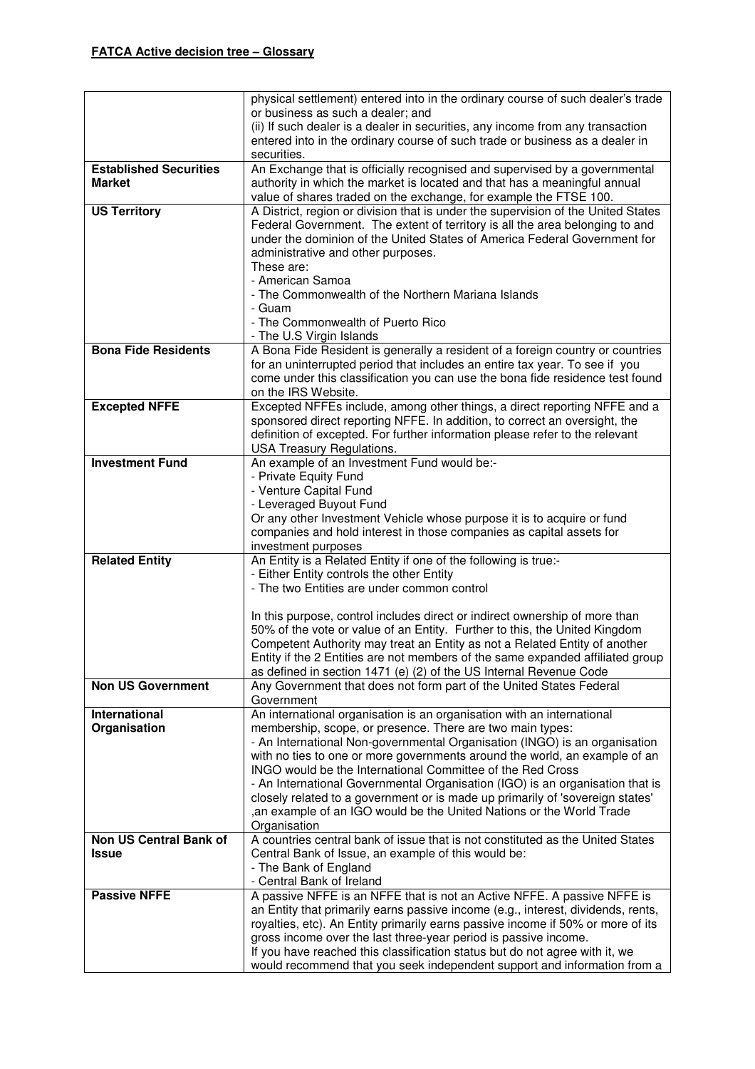|                                                | physical settlement) entered into in the ordinary course of such dealer's trade                                                                              |
|------------------------------------------------|--------------------------------------------------------------------------------------------------------------------------------------------------------------|
|                                                | or business as such a dealer; and                                                                                                                            |
|                                                | (ii) If such dealer is a dealer in securities, any income from any transaction                                                                               |
|                                                | entered into in the ordinary course of such trade or business as a dealer in                                                                                 |
|                                                | securities.                                                                                                                                                  |
| <b>Established Securities</b><br><b>Market</b> | An Exchange that is officially recognised and supervised by a governmental                                                                                   |
|                                                | authority in which the market is located and that has a meaningful annual                                                                                    |
| <b>US Territory</b>                            | value of shares traded on the exchange, for example the FTSE 100.<br>A District, region or division that is under the supervision of the United States       |
|                                                | Federal Government. The extent of territory is all the area belonging to and                                                                                 |
|                                                | under the dominion of the United States of America Federal Government for                                                                                    |
|                                                | administrative and other purposes.                                                                                                                           |
|                                                | These are:                                                                                                                                                   |
|                                                | - American Samoa                                                                                                                                             |
|                                                | - The Commonwealth of the Northern Mariana Islands                                                                                                           |
|                                                | - Guam                                                                                                                                                       |
|                                                | - The Commonwealth of Puerto Rico                                                                                                                            |
|                                                | - The U.S Virgin Islands                                                                                                                                     |
| <b>Bona Fide Residents</b>                     | A Bona Fide Resident is generally a resident of a foreign country or countries                                                                               |
|                                                | for an uninterrupted period that includes an entire tax year. To see if you<br>come under this classification you can use the bona fide residence test found |
|                                                | on the IRS Website.                                                                                                                                          |
| <b>Excepted NFFE</b>                           | Excepted NFFEs include, among other things, a direct reporting NFFE and a                                                                                    |
|                                                | sponsored direct reporting NFFE. In addition, to correct an oversight, the                                                                                   |
|                                                | definition of excepted. For further information please refer to the relevant                                                                                 |
|                                                | <b>USA Treasury Regulations.</b>                                                                                                                             |
| <b>Investment Fund</b>                         | An example of an Investment Fund would be:-                                                                                                                  |
|                                                | - Private Equity Fund                                                                                                                                        |
|                                                | - Venture Capital Fund                                                                                                                                       |
|                                                | - Leveraged Buyout Fund                                                                                                                                      |
|                                                | Or any other Investment Vehicle whose purpose it is to acquire or fund<br>companies and hold interest in those companies as capital assets for               |
|                                                | investment purposes                                                                                                                                          |
| <b>Related Entity</b>                          | An Entity is a Related Entity if one of the following is true:-                                                                                              |
|                                                | - Either Entity controls the other Entity                                                                                                                    |
|                                                | - The two Entities are under common control                                                                                                                  |
|                                                |                                                                                                                                                              |
|                                                | In this purpose, control includes direct or indirect ownership of more than                                                                                  |
|                                                | 50% of the vote or value of an Entity. Further to this, the United Kingdom                                                                                   |
|                                                | Competent Authority may treat an Entity as not a Related Entity of another                                                                                   |
|                                                | Entity if the 2 Entities are not members of the same expanded affiliated group                                                                               |
| <b>Non US Government</b>                       | as defined in section 1471 (e) (2) of the US Internal Revenue Code<br>Any Government that does not form part of the United States Federal                    |
|                                                | Government                                                                                                                                                   |
| International                                  | An international organisation is an organisation with an international                                                                                       |
| Organisation                                   | membership, scope, or presence. There are two main types:                                                                                                    |
|                                                | - An International Non-governmental Organisation (INGO) is an organisation                                                                                   |
|                                                | with no ties to one or more governments around the world, an example of an                                                                                   |
|                                                | INGO would be the International Committee of the Red Cross                                                                                                   |
|                                                | - An International Governmental Organisation (IGO) is an organisation that is                                                                                |
|                                                | closely related to a government or is made up primarily of 'sovereign states'<br>, an example of an IGO would be the United Nations or the World Trade       |
|                                                | Organisation                                                                                                                                                 |
| Non US Central Bank of                         | A countries central bank of issue that is not constituted as the United States                                                                               |
| <b>Issue</b>                                   | Central Bank of Issue, an example of this would be:                                                                                                          |
|                                                | - The Bank of England                                                                                                                                        |
|                                                | - Central Bank of Ireland                                                                                                                                    |
| <b>Passive NFFE</b>                            | A passive NFFE is an NFFE that is not an Active NFFE. A passive NFFE is                                                                                      |
|                                                | an Entity that primarily earns passive income (e.g., interest, dividends, rents,                                                                             |
|                                                | royalties, etc). An Entity primarily earns passive income if 50% or more of its                                                                              |
|                                                | gross income over the last three-year period is passive income.                                                                                              |
|                                                | If you have reached this classification status but do not agree with it, we<br>would recommend that you seek independent support and information from a      |
|                                                |                                                                                                                                                              |